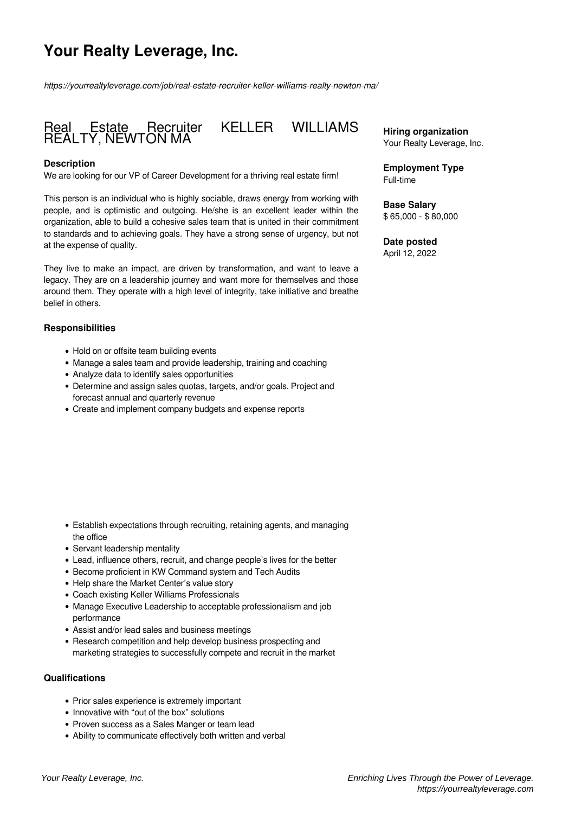# **Your Realty Leverage, Inc.**

*https://yourrealtyleverage.com/job/real-estate-recruiter-keller-williams-realty-newton-ma/*

## Real Estate Recruiter KELLER WILLIAMS REALTY, NEWTON MA

#### **Description**

We are looking for our VP of Career Development for a thriving real estate firm!

This person is an individual who is highly sociable, draws energy from working with people, and is optimistic and outgoing. He/she is an excellent leader within the organization, able to build a cohesive sales team that is united in their commitment to standards and to achieving goals. They have a strong sense of urgency, but not at the expense of quality.

They live to make an impact, are driven by transformation, and want to leave a legacy. They are on a leadership journey and want more for themselves and those around them. They operate with a high level of integrity, take initiative and breathe belief in others.

#### **Responsibilities**

- Hold on or offsite team building events
- Manage a sales team and provide leadership, training and coaching
- Analyze data to identify sales opportunities
- Determine and assign sales quotas, targets, and/or goals. Project and forecast annual and quarterly revenue
- Create and implement company budgets and expense reports

- Establish expectations through recruiting, retaining agents, and managing the office
- Servant leadership mentality
- Lead, influence others, recruit, and change people's lives for the better
- Become proficient in KW Command system and Tech Audits
- Help share the Market Center's value story
- Coach existing Keller Williams Professionals
- Manage Executive Leadership to acceptable professionalism and job performance
- Assist and/or lead sales and business meetings
- Research competition and help develop business prospecting and marketing strategies to successfully compete and recruit in the market

#### **Qualifications**

- Prior sales experience is extremely important
- Innovative with "out of the box" solutions
- Proven success as a Sales Manger or team lead
- Ability to communicate effectively both written and verbal

**Hiring organization** Your Realty Leverage, Inc.

**Employment Type** Full-time

**Base Salary** \$ 65,000 - \$ 80,000

**Date posted** April 12, 2022